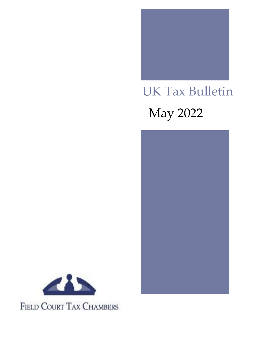

# UK Tax Bulletin May 2022





FIELD COURT TAX CHAMBERS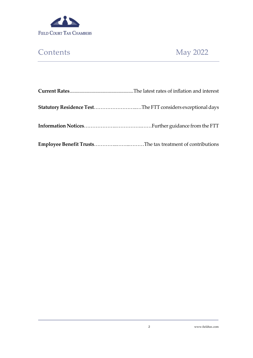

# Contents May 2022

| <b>Statutory Residence TestThe FTT considers exceptional days</b> |
|-------------------------------------------------------------------|
|                                                                   |
|                                                                   |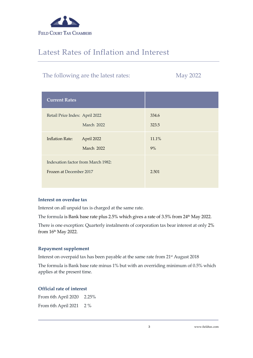

## Latest Rates of Inflation and Interest

## The following are the latest rates: May 2022

| <b>Current Rates</b>                                          |                |
|---------------------------------------------------------------|----------------|
| Retail Price Index: April 2022<br>March 2022                  | 334.6<br>323.5 |
| <b>Inflation Rate:</b><br>April 2022<br>March 2022            | 11.1%<br>9%    |
| Indexation factor from March 1982:<br>Frozen at December 2017 | 2.501          |

#### **Interest on overdue tax**

Interest on all unpaid tax is charged at the same rate.

The formula is Bank base rate plus 2.5% which gives a rate of 3.5% from 24<sup>th</sup> May 2022.

There is one exception: Quarterly instalments of corporation tax bear interest at only 2% from 16th May 2022.

### **Repayment supplement**

Interest on overpaid tax has been payable at the same rate from 21<sup>st</sup> August 2018

The formula is Bank base rate minus 1% but with an overriding minimum of 0.5% which applies at the present time.

### **Official rate of interest**

From 6th April 2020 2.25% From 6th April 2021 2 %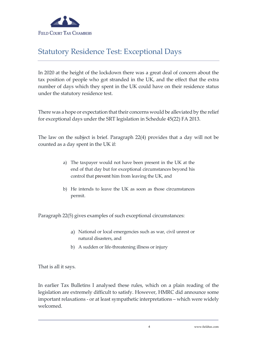

## Statutory Residence Test: Exceptional Days

In 2020 at the height of the lockdown there was a great deal of concern about the tax position of people who got stranded in the UK, and the effect that the extra number of days which they spent in the UK could have on their residence status under the statutory residence test.

There was a hope or expectation that their concerns would be alleviated by the relief for exceptional days under the SRT legislation in Schedule 45(22) FA 2013.

The law on the subject is brief. Paragraph 22(4) provides that a day will not be counted as a day spent in the UK if:

- a) The taxpayer would not have been present in the UK at the end of that day but for exceptional circumstances beyond his control that prevent him from leaving the UK, and
- b) He intends to leave the UK as soon as those circumstances permit.

Paragraph 22(5) gives examples of such exceptional circumstances:

- a) National or local emergencies such as war, civil unrest or natural disasters, and
- b) A sudden or life-threatening illness or injury

That is all it says.

In earlier Tax Bulletins I analysed these rules, which on a plain reading of the legislation are extremely difficult to satisfy. However, HMRC did announce some important relaxations - or at least sympathetic interpretations – which were widely welcomed.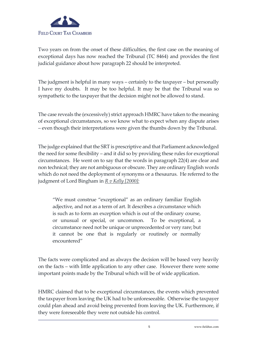

Two years on from the onset of these difficulties, the first case on the meaning of exceptional days has now reached the Tribunal (TC 8464) and provides the first judicial guidance about how paragraph 22 should be interpreted.

The judgment is helpful in many ways – certainly to the taxpayer – but personally I have my doubts. It may be too helpful. It may be that the Tribunal was so sympathetic to the taxpayer that the decision might not be allowed to stand.

The case reveals the (excessively) strict approach HMRC have taken to the meaning of exceptional circumstances, so we know what to expect when any dispute arises – even though their interpretations were given the thumbs down by the Tribunal.

The judge explained that the SRT is prescriptive and that Parliament acknowledged the need for some flexibility – and it did so by providing these rules for exceptional circumstances. He went on to say that the words in paragraph 22(4) are clear and non technical; they are not ambiguous or obscure. They are ordinary English words which do not need the deployment of synonyms or a thesaurus. He referred to the judgment of Lord Bingham in *R v Kelly [2000]:*

"We must construe "exceptional" as an ordinary familiar English adjective, and not as a term of art. It describes a circumstance which is such as to form an exception which is out of the ordinary course, or unusual or special, or uncommon. To be exceptional, a circumstance need not be unique or unprecedented or very rare; but it cannot be one that is regularly or routinely or normally encountered"

The facts were complicated and as always the decision will be based very heavily on the facts – with little application to any other case. However there were some important points made by the Tribunal which will be of wide application.

HMRC claimed that to be exceptional circumstances, the events which prevented the taxpayer from leaving the UK had to be unforeseeable. Otherwise the taxpayer could plan ahead and avoid being prevented from leaving the UK. Furthermore, if they were foreseeable they were not outside his control.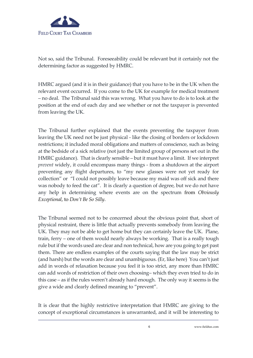

Not so, said the Tribunal. Foreseeability could be relevant but it certainly not the determining factor as suggested by HMRC.

HMRC argued (and it is in their guidance) that you have to be in the UK when the relevant event occurred. If you come to the UK for example for medical treatment – no deal. The Tribunal said this was wrong. What you have to do is to look at the position at the end of each day and see whether or not the taxpayer is prevented from leaving the UK.

The Tribunal further explained that the events preventing the taxpayer from leaving the UK need not be just physical - like the closing of borders or lockdown restrictions; it included moral obligations and matters of conscience, such as being at the bedside of a sick relative (not just the limited group of persons set out in the HMRC guidance). That is clearly sensible – but it must have a limit. If we interpret *prevent* widely, it could encompass many things - from a shutdown at the airport preventing any flight departures, to "my new glasses were not yet ready for collection" or "I could not possibly leave because my maid was off sick and there was nobody to feed the cat". It is clearly a question of degree, but we do not have any help in determining where events are on the spectrum from *Obviously Exceptional*, to *Don't Be So Silly*.

The Tribunal seemed not to be concerned about the obvious point that, short of physical restraint, there is little that actually prevents somebody from leaving the UK. They may not be able to get home but they can certainly leave the UK. Plane, train, ferry – one of them would nearly always be working. That is a really tough rule but if the words used are clear and non technical, how are you going to get past them. There are endless examples of the courts saying that the law may be strict (and harsh) but the words are clear and unambiguous. (Er, like here) You can't just add in words of relaxation because you feel it is too strict, any more than HMRC can add words of restriction of their own choosing– which they even tried to do in this case – as if the rules weren't already hard enough. The only way it seems is the give a wide and clearly defined meaning to "prevent".

It is clear that the highly restrictive interpretation that HMRC are giving to the concept of exceptional circumstances is unwarranted, and it will be interesting to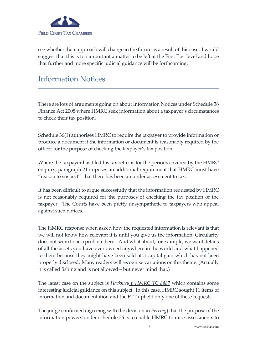

see whether their approach will change in the future as a result of this case. I would suggest that this is too important a matter to be left at the First Tier level and hope that further and more specific judicial guidance will be forthcoming.

## Information Notices

There are lots of arguments going on about Information Notices under Schedule 36 Finance Act 2008 where HMRC seek information about a taxpayer's circumstances to check their tax position.

Schedule 36(1) authorises HMRC to require the taxpayer to provide information or produce a document if the information or document is reasonably required by the officer for the purpose of checking the taxpayer's tax position.

Where the taxpayer has filed his tax returns for the periods covered by the HMRC enquiry, paragraph 21 imposes an additional requirement that HMRC must have "reason to suspect" that there has been an under assessment to tax.

It has been difficult to argue successfully that the information requested by HMRC is not reasonably required for the purposes of checking the tax position of the taxpayer. The Courts have been pretty unsympathetic to taxpayers who appeal against such notices.

The HMRC response when asked how the requested information is relevant is that we will not know how relevant it is until you give us the information. Circularity does not seem to be a problem here. And what about, for example, we want details of all the assets you have ever owned anywhere in the world and what happened to them because they might have been sold at a capital gain which has not been properly disclosed. Many readers will recognise variations on this theme. (Actually it is called fishing and is not allowed – but never mind that.)

The latest case on the subject is *Hackmey v HMRC TC 8487* which contains some interesting judicial guidance on this subject. In this case, HMRC sought 11 items of information and documentation and the FTT upheld only one of these requests.

The judge confirmed (agreeing with the decision in *Perring*) that the purpose of the information powers under schedule 36 is to enable HMRC to raise assessments to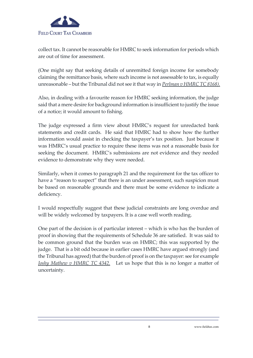

collect tax. It cannot be reasonable for HMRC to seek information for periods which are out of time for assessment.

(One might say that seeking details of unremitted foreign income for somebody claiming the remittance basis, where such income is not assessable to tax, is equally unreasonable – but the Tribunal did not see it that way in *Perlman v HMRC TC 8168).*

Also, in dealing with a favourite reason for HMRC seeking information, the judge said that a mere desire for background information is insufficient to justify the issue of a notice; it would amount to fishing.

The judge expressed a firm view about HMRC's request for unredacted bank statements and credit cards. He said that HMRC had to show how the further information would assist in checking the taxpayer's tax position. Just because it was HMRC's usual practice to require these items was not a reasonable basis for seeking the document. HMRC's submissions are not evidence and they needed evidence to demonstrate why they were needed.

Similarly, when it comes to paragraph 21 and the requirement for the tax officer to have a "reason to suspect" that there is an under assessment, such suspicion must be based on reasonable grounds and there must be some evidence to indicate a deficiency.

I would respectfully suggest that these judicial constraints are long overdue and will be widely welcomed by taxpayers. It is a case well worth reading.

One part of the decision is of particular interest – which is who has the burden of proof in showing that the requirements of Schedule 36 are satisfied. It was said to be common ground that the burden was on HMRC; this was supported by the judge. That is a bit odd because in earlier cases HMRC have argued strongly (and the Tribunal has agreed) that the burden of proof is on the taxpayer: see for example *Joshy Mathew v HMRC TC 4342.* Let us hope that this is no longer a matter of uncertainty.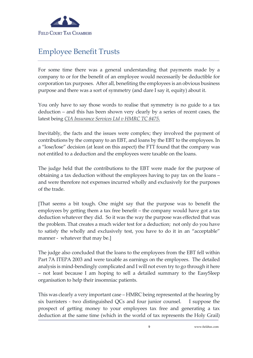

## Employee Benefit Trusts

For some time there was a general understanding that payments made by a company to or for the benefit of an employee would necessarily be deductible for corporation tax purposes. After all, benefiting the employees is an obvious business purpose and there was a sort of symmetry (and dare I say it, equity) about it.

You only have to say those words to realise that symmetry is no guide to a tax deduction – and this has been shown very clearly by a series of recent cases, the latest being *CIA Insurance Services Ltd v HMRC TC 8475.*

Inevitably, the facts and the issues were complex; they involved the payment of contributions by the company to an EBT, and loans by the EBT to the employees. In a "lose/lose" decision (at least on this aspect) the FTT found that the company was not entitled to a deduction and the employees were taxable on the loans.

The judge held that the contributions to the EBT were made for the purpose of obtaining a tax deduction without the employees having to pay tax on the loans – and were therefore not expenses incurred wholly and exclusively for the purposes of the trade.

[That seems a bit tough. One might say that the purpose was to benefit the employees by getting them a tax free benefit – the company would have got a tax deduction whatever they did. So it was the way the purpose was effected that was the problem. That creates a much wider test for a deduction; not only do you have to satisfy the wholly and exclusively test, you have to do it in an "acceptable" manner - whatever that may be.]

The judge also concluded that the loans to the employees from the EBT fell within Part 7A ITEPA 2003 and were taxable as earnings on the employees. The detailed analysis is mind-bendingly complicated and I will not even try to go through it here – not least because I am hoping to sell a detailed summary to the EasySleep organisation to help their insomniac patients.

This was clearly a very important case – HMRC being represented at the hearing by six barristers - two distinguished QCs and four junior counsel. I suppose the prospect of getting money to your employees tax free and generating a tax deduction at the same time (which in the world of tax represents the Holy Grail)